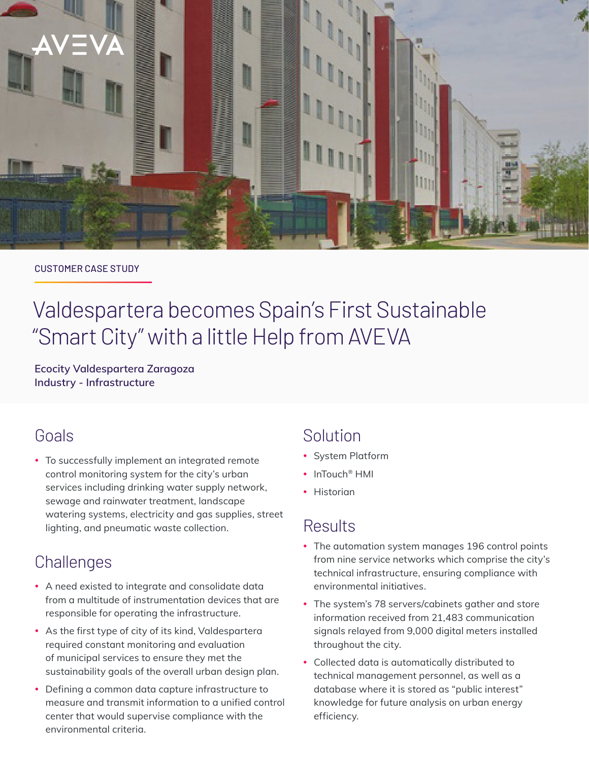

#### CUSTOMER CASE STUDY

# Valdespartera becomes Spain's First Sustainable "Smart City" with a little Help from AVEVA

**Ecocity Valdespartera Zaragoza Industry - Infrastructure**

## Goals

• To successfully implement an integrated remote control monitoring system for the city's urban services including drinking water supply network, sewage and rainwater treatment, landscape watering systems, electricity and gas supplies, street lighting, and pneumatic waste collection.

# **Challenges**

- A need existed to integrate and consolidate data from a multitude of instrumentation devices that are responsible for operating the infrastructure.
- As the first type of city of its kind, Valdespartera required constant monitoring and evaluation of municipal services to ensure they met the sustainability goals of the overall urban design plan.
- Defining a common data capture infrastructure to measure and transmit information to a unified control center that would supervise compliance with the environmental criteria.

## Solution

- System Platform
- InTouch<sup>®</sup> HMI
- Historian

# **Results**

- The automation system manages 196 control points from nine service networks which comprise the city's technical infrastructure, ensuring compliance with environmental initiatives.
- The system's 78 servers/cabinets gather and store information received from 21,483 communication signals relayed from 9,000 digital meters installed throughout the city.
- Collected data is automatically distributed to technical management personnel, as well as a database where it is stored as "public interest" knowledge for future analysis on urban energy efficiency.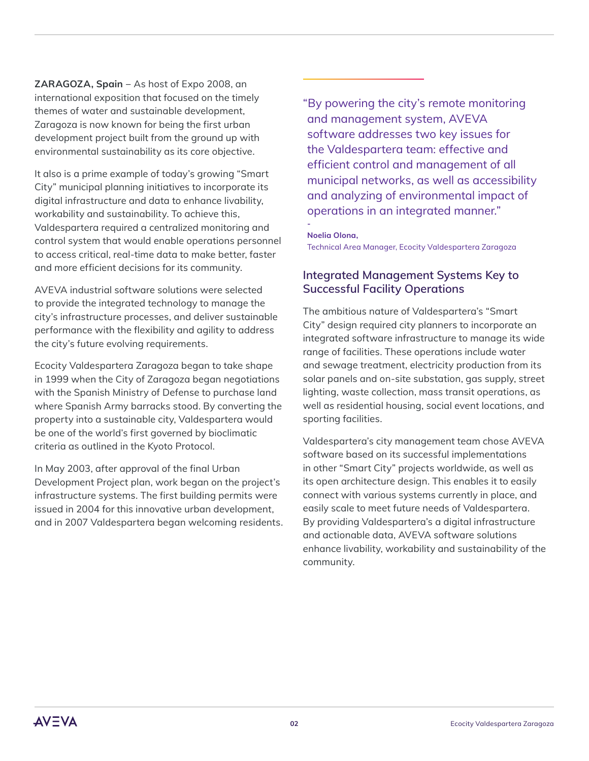**ZARAGOZA, Spain** − As host of Expo 2008, an international exposition that focused on the timely themes of water and sustainable development, Zaragoza is now known for being the first urban development project built from the ground up with environmental sustainability as its core objective.

It also is a prime example of today's growing "Smart City" municipal planning initiatives to incorporate its digital infrastructure and data to enhance livability, workability and sustainability. To achieve this, Valdespartera required a centralized monitoring and control system that would enable operations personnel to access critical, real-time data to make better, faster and more efficient decisions for its community.

AVEVA industrial software solutions were selected to provide the integrated technology to manage the city's infrastructure processes, and deliver sustainable performance with the flexibility and agility to address the city's future evolving requirements.

Ecocity Valdespartera Zaragoza began to take shape in 1999 when the City of Zaragoza began negotiations with the Spanish Ministry of Defense to purchase land where Spanish Army barracks stood. By converting the property into a sustainable city, Valdespartera would be one of the world's first governed by bioclimatic criteria as outlined in the Kyoto Protocol.

In May 2003, after approval of the final Urban Development Project plan, work began on the project's infrastructure systems. The first building permits were issued in 2004 for this innovative urban development, and in 2007 Valdespartera began welcoming residents. "By powering the city's remote monitoring and management system, AVEVA software addresses two key issues for the Valdespartera team: effective and efficient control and management of all municipal networks, as well as accessibility and analyzing of environmental impact of operations in an integrated manner."

#### **Noelia Olona,**

**-**

Technical Area Manager, Ecocity Valdespartera Zaragoza

### **Integrated Management Systems Key to Successful Facility Operations**

The ambitious nature of Valdespartera's "Smart City" design required city planners to incorporate an integrated software infrastructure to manage its wide range of facilities. These operations include water and sewage treatment, electricity production from its solar panels and on-site substation, gas supply, street lighting, waste collection, mass transit operations, as well as residential housing, social event locations, and sporting facilities.

Valdespartera's city management team chose AVEVA software based on its successful implementations in other "Smart City" projects worldwide, as well as its open architecture design. This enables it to easily connect with various systems currently in place, and easily scale to meet future needs of Valdespartera. By providing Valdespartera's a digital infrastructure and actionable data, AVEVA software solutions enhance livability, workability and sustainability of the community.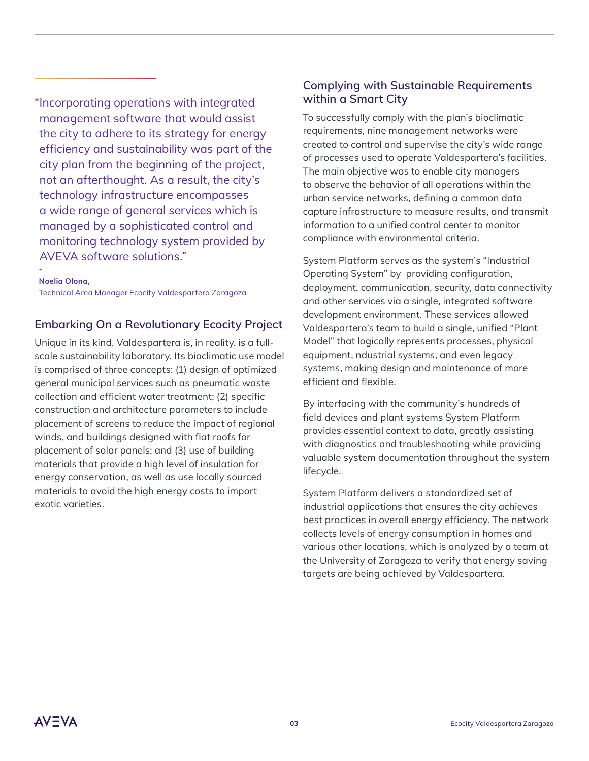"Incorporating operations with integrated management software that would assist the city to adhere to its strategy for energy efficiency and sustainability was part of the city plan from the beginning of the project, not an afterthought. As a result, the city's technology infrastructure encompasses a wide range of general services which is managed by a sophisticated control and monitoring technology system provided by AVEVA software solutions."

**Noelia Olona,** 

**-**

Technical Area Manager Ecocity Valdespartera Zaragoza

#### **Embarking On a Revolutionary Ecocity Project**

Unique in its kind, Valdespartera is, in reality, is a fullscale sustainability laboratory. Its bioclimatic use model is comprised of three concepts: (1) design of optimized general municipal services such as pneumatic waste collection and efficient water treatment; (2) specific construction and architecture parameters to include placement of screens to reduce the impact of regional winds, and buildings designed with flat roofs for placement of solar panels; and (3) use of building materials that provide a high level of insulation for energy conservation, as well as use locally sourced materials to avoid the high energy costs to import exotic varieties.

### **Complying with Sustainable Requirements within a Smart City**

To successfully comply with the plan's bioclimatic requirements, nine management networks were created to control and supervise the city's wide range of processes used to operate Valdespartera's facilities. The main objective was to enable city managers to observe the behavior of all operations within the urban service networks, defining a common data capture infrastructure to measure results, and transmit information to a unified control center to monitor compliance with environmental criteria.

System Platform serves as the system's "Industrial Operating System" by providing configuration, deployment, communication, security, data connectivity and other services via a single, integrated software development environment. These services allowed Valdespartera's team to build a single, unified "Plant Model" that logically represents processes, physical equipment, ndustrial systems, and even legacy systems, making design and maintenance of more efficient and flexible.

By interfacing with the community's hundreds of field devices and plant systems System Platform provides essential context to data, greatly assisting with diagnostics and troubleshooting while providing valuable system documentation throughout the system lifecycle.

System Platform delivers a standardized set of industrial applications that ensures the city achieves best practices in overall energy efficiency. The network collects levels of energy consumption in homes and various other locations, which is analyzed by a team at the University of Zaragoza to verify that energy saving targets are being achieved by Valdespartera.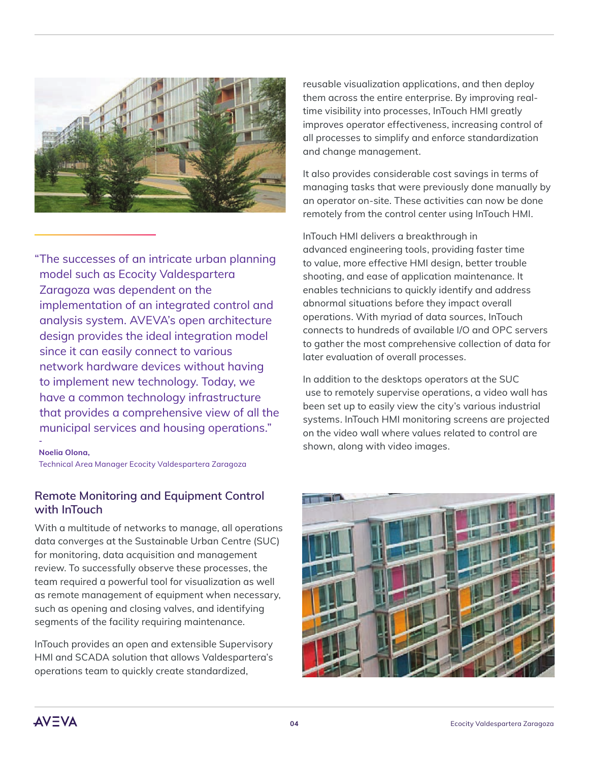

"The successes of an intricate urban planning model such as Ecocity Valdespartera Zaragoza was dependent on the implementation of an integrated control and analysis system. AVEVA's open architecture design provides the ideal integration model since it can easily connect to various network hardware devices without having to implement new technology. Today, we have a common technology infrastructure that provides a comprehensive view of all the municipal services and housing operations."

#### **Noelia Olona,**

**-**

Technical Area Manager Ecocity Valdespartera Zaragoza

#### **Remote Monitoring and Equipment Control with InTouch**

With a multitude of networks to manage, all operations data converges at the Sustainable Urban Centre (SUC) for monitoring, data acquisition and management review. To successfully observe these processes, the team required a powerful tool for visualization as well as remote management of equipment when necessary, such as opening and closing valves, and identifying segments of the facility requiring maintenance.

InTouch provides an open and extensible Supervisory HMI and SCADA solution that allows Valdespartera's operations team to quickly create standardized,

reusable visualization applications, and then deploy them across the entire enterprise. By improving realtime visibility into processes, InTouch HMI greatly improves operator effectiveness, increasing control of all processes to simplify and enforce standardization and change management.

It also provides considerable cost savings in terms of managing tasks that were previously done manually by an operator on-site. These activities can now be done remotely from the control center using InTouch HMI.

InTouch HMI delivers a breakthrough in advanced engineering tools, providing faster time to value, more effective HMI design, better trouble shooting, and ease of application maintenance. It enables technicians to quickly identify and address abnormal situations before they impact overall operations. With myriad of data sources, InTouch connects to hundreds of available I/O and OPC servers to gather the most comprehensive collection of data for later evaluation of overall processes.

In addition to the desktops operators at the SUC use to remotely supervise operations, a video wall has been set up to easily view the city's various industrial systems. InTouch HMI monitoring screens are projected on the video wall where values related to control are shown, along with video images.



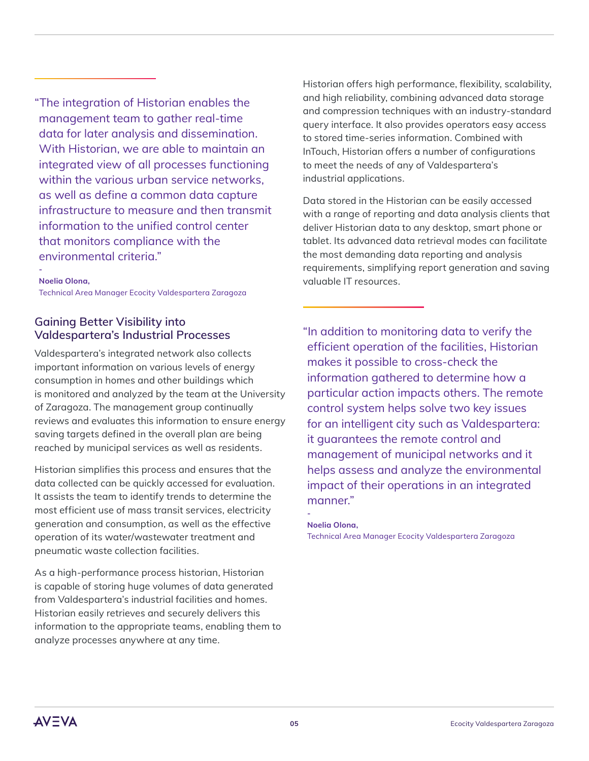"The integration of Historian enables the management team to gather real-time data for later analysis and dissemination. With Historian, we are able to maintain an integrated view of all processes functioning within the various urban service networks, as well as define a common data capture infrastructure to measure and then transmit information to the unified control center that monitors compliance with the environmental criteria."

#### **Noelia Olona,**

**-**

Technical Area Manager Ecocity Valdespartera Zaragoza

### **Gaining Better Visibility into Valdespartera's Industrial Processes**

Valdespartera's integrated network also collects important information on various levels of energy consumption in homes and other buildings which is monitored and analyzed by the team at the University of Zaragoza. The management group continually reviews and evaluates this information to ensure energy saving targets defined in the overall plan are being reached by municipal services as well as residents.

Historian simplifies this process and ensures that the data collected can be quickly accessed for evaluation. It assists the team to identify trends to determine the most efficient use of mass transit services, electricity generation and consumption, as well as the effective operation of its water/wastewater treatment and pneumatic waste collection facilities.

As a high-performance process historian, Historian is capable of storing huge volumes of data generated from Valdespartera's industrial facilities and homes. Historian easily retrieves and securely delivers this information to the appropriate teams, enabling them to analyze processes anywhere at any time.

Historian offers high performance, flexibility, scalability, and high reliability, combining advanced data storage and compression techniques with an industry-standard query interface. It also provides operators easy access to stored time-series information. Combined with InTouch, Historian offers a number of configurations to meet the needs of any of Valdespartera's industrial applications.

Data stored in the Historian can be easily accessed with a range of reporting and data analysis clients that deliver Historian data to any desktop, smart phone or tablet. Its advanced data retrieval modes can facilitate the most demanding data reporting and analysis requirements, simplifying report generation and saving valuable IT resources.

"In addition to monitoring data to verify the efficient operation of the facilities, Historian makes it possible to cross-check the information gathered to determine how a particular action impacts others. The remote control system helps solve two key issues for an intelligent city such as Valdespartera: it guarantees the remote control and management of municipal networks and it helps assess and analyze the environmental impact of their operations in an integrated manner."

#### **Noelia Olona,**

**-**

Technical Area Manager Ecocity Valdespartera Zaragoza